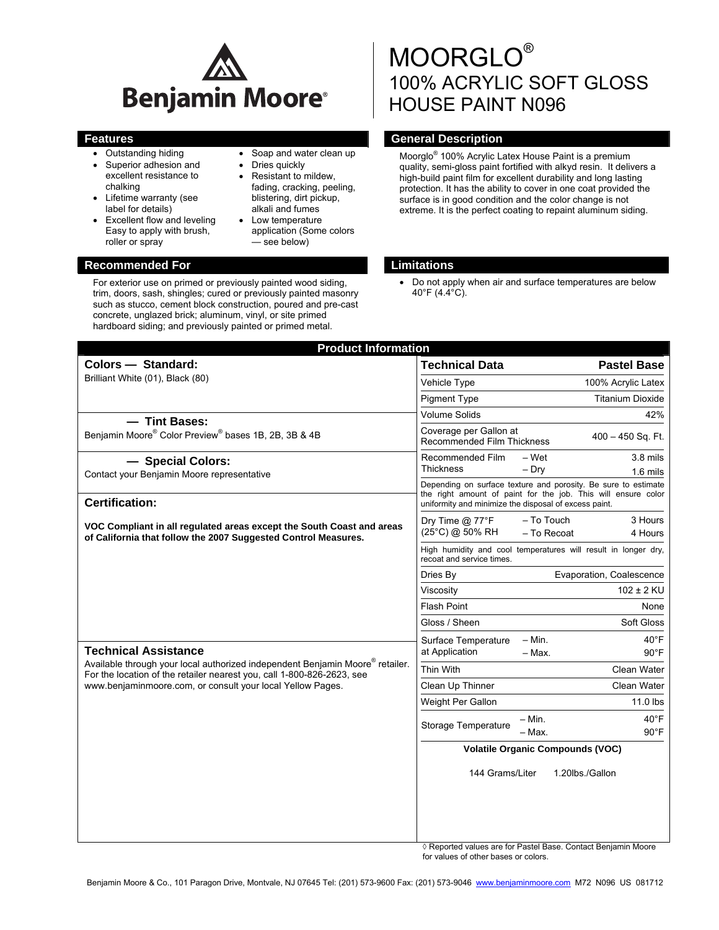

- Outstanding hiding
- Superior adhesion and excellent resistance to chalking
- Lifetime warranty (see label for details)
- **Excellent flow and leveling** Easy to apply with brush, roller or spray

# • Soap and water clean up

- Dries quickly
- Resistant to mildew, fading, cracking, peeling, blistering, dirt pickup, alkali and fumes
- Low temperature application (Some colors — see below)

# MOORGLO® 100% ACRYLIC SOFT GLOSS HOUSE PAINT N096

# **Features General Description Contract Description Acts**

Moorglo® 100% Acrylic Latex House Paint is a premium quality, semi-gloss paint fortified with alkyd resin. It delivers a high-build paint film for excellent durability and long lasting protection. It has the ability to cover in one coat provided the surface is in good condition and the color change is not extreme. It is the perfect coating to repaint aluminum siding.

# **Recommended For Limitations and Limitations**

• Do not apply when air and surface temperatures are below 40°F (4.4°C).

| <b>Product Information</b>                                                                                                                                                                                                                                       |                                                                                                                                                                                          |
|------------------------------------------------------------------------------------------------------------------------------------------------------------------------------------------------------------------------------------------------------------------|------------------------------------------------------------------------------------------------------------------------------------------------------------------------------------------|
| Colors - Standard:                                                                                                                                                                                                                                               | <b>Technical Data</b><br><b>Pastel Base</b>                                                                                                                                              |
| Brilliant White (01), Black (80)                                                                                                                                                                                                                                 | Vehicle Type<br>100% Acrylic Latex                                                                                                                                                       |
|                                                                                                                                                                                                                                                                  | <b>Titanium Dioxide</b><br><b>Pigment Type</b>                                                                                                                                           |
| - Tint Bases:                                                                                                                                                                                                                                                    | Volume Solids<br>42%                                                                                                                                                                     |
| Benjamin Moore® Color Preview® bases 1B, 2B, 3B & 4B                                                                                                                                                                                                             | Coverage per Gallon at<br>$400 - 450$ Sq. Ft.<br>Recommended Film Thickness                                                                                                              |
| - Special Colors:                                                                                                                                                                                                                                                | Recommended Film<br>- Wet<br>$3.8$ mils                                                                                                                                                  |
| Contact your Benjamin Moore representative                                                                                                                                                                                                                       | <b>Thickness</b><br>$-$ Dry<br>$1.6$ mils                                                                                                                                                |
| <b>Certification:</b>                                                                                                                                                                                                                                            | Depending on surface texture and porosity. Be sure to estimate<br>the right amount of paint for the job. This will ensure color<br>uniformity and minimize the disposal of excess paint. |
| VOC Compliant in all regulated areas except the South Coast and areas<br>of California that follow the 2007 Suggested Control Measures.                                                                                                                          | - To Touch<br>3 Hours<br>Dry Time $@$ 77 ${}^{\circ}$ F                                                                                                                                  |
|                                                                                                                                                                                                                                                                  | (25°C) @ 50% RH<br>- To Recoat<br>4 Hours                                                                                                                                                |
|                                                                                                                                                                                                                                                                  | High humidity and cool temperatures will result in longer dry,<br>recoat and service times.                                                                                              |
|                                                                                                                                                                                                                                                                  | Evaporation, Coalescence<br>Dries By                                                                                                                                                     |
|                                                                                                                                                                                                                                                                  | $102 \pm 2$ KU<br>Viscositv                                                                                                                                                              |
|                                                                                                                                                                                                                                                                  | <b>Flash Point</b><br>None                                                                                                                                                               |
|                                                                                                                                                                                                                                                                  | Gloss / Sheen<br>Soft Gloss                                                                                                                                                              |
|                                                                                                                                                                                                                                                                  | $- Min.$<br>$40^{\circ}$ F<br>Surface Temperature                                                                                                                                        |
| <b>Technical Assistance</b><br>Available through your local authorized independent Benjamin Moore <sup>®</sup> retailer.<br>For the location of the retailer nearest you, call 1-800-826-2623, see<br>www.benjaminmoore.com, or consult your local Yellow Pages. | at Application<br>$-$ Max.<br>$90^{\circ}$ F                                                                                                                                             |
|                                                                                                                                                                                                                                                                  | Thin With<br>Clean Water                                                                                                                                                                 |
|                                                                                                                                                                                                                                                                  | Clean Up Thinner<br>Clean Water                                                                                                                                                          |
|                                                                                                                                                                                                                                                                  | 11.0 lbs<br>Weight Per Gallon                                                                                                                                                            |
|                                                                                                                                                                                                                                                                  | $40^{\circ}$ F<br>$- Min.$<br>Storage Temperature<br>$90^{\circ}$ F<br>– Max.                                                                                                            |
|                                                                                                                                                                                                                                                                  | <b>Volatile Organic Compounds (VOC)</b>                                                                                                                                                  |
|                                                                                                                                                                                                                                                                  | 144 Grams/Liter<br>1.20lbs./Gallon                                                                                                                                                       |
|                                                                                                                                                                                                                                                                  |                                                                                                                                                                                          |

◊ Reported values are for Pastel Base. Contact Benjamin Moore for values of other bases or colors.

#### For exterior use on primed or previously painted wood siding, trim, doors, sash, shingles; cured or previously painted masonry such as stucco, cement block construction, poured and pre-cast concrete, unglazed brick; aluminum, vinyl, or site primed hardboard siding; and previously painted or primed metal.